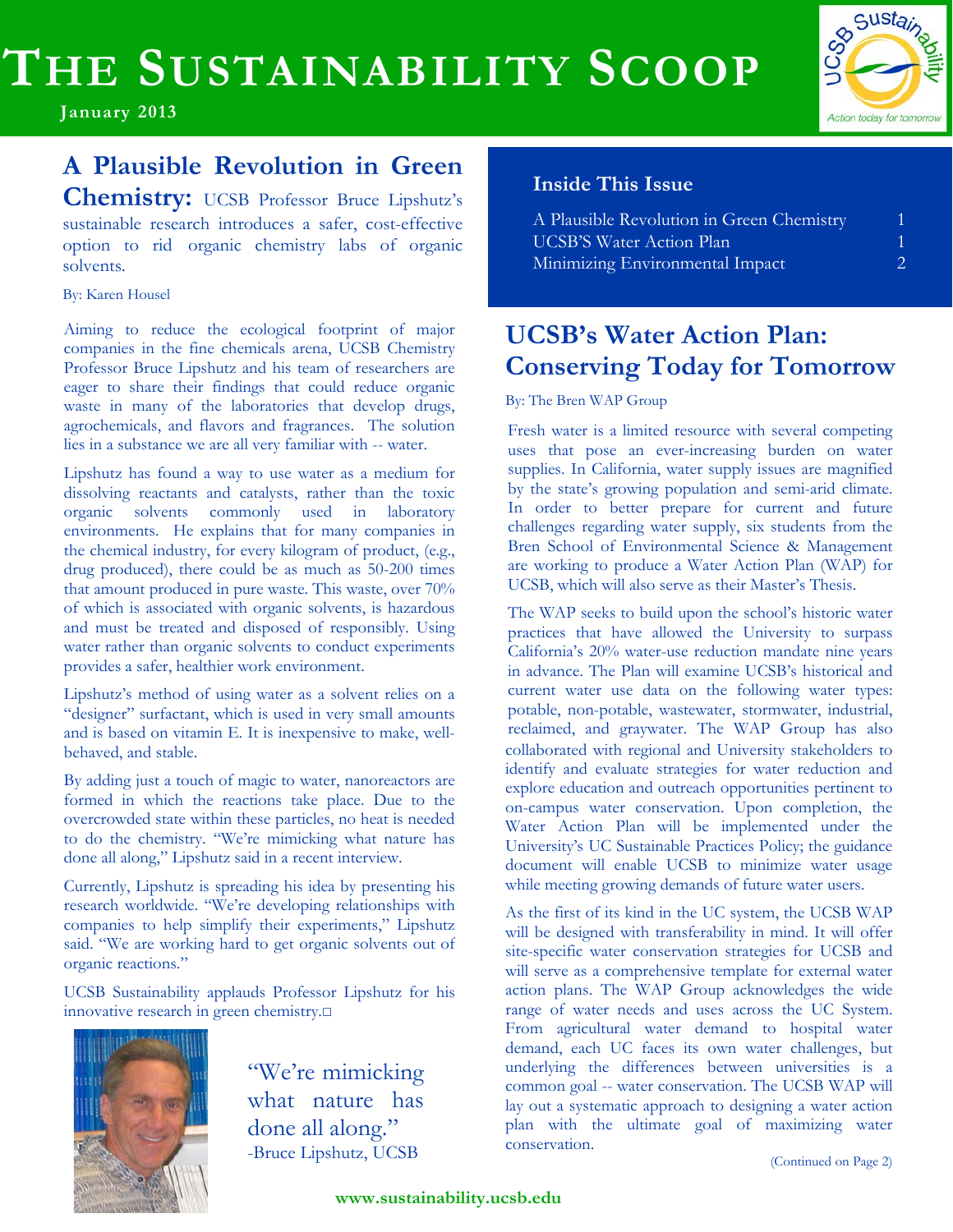# **THE SUSTAINABILITY SCOOP**

**January 2013**

## **A Plausible Revolution in Green**

**Chemistry:** UCSB Professor Bruce Lipshutz's sustainable research introduces a safer, cost-effective option to rid organic chemistry labs of organic solvents.

By: Karen Housel

Aiming to reduce the ecological footprint of major companies in the fine chemicals arena, UCSB Chemistry Professor Bruce Lipshutz and his team of researchers are eager to share their findings that could reduce organic waste in many of the laboratories that develop drugs, agrochemicals, and flavors and fragrances. The solution lies in a substance we are all very familiar with -- water.

Lipshutz has found a way to use water as a medium for dissolving reactants and catalysts, rather than the toxic organic solvents commonly used in laboratory environments. He explains that for many companies in the chemical industry, for every kilogram of product, (e.g., drug produced), there could be as much as 50-200 times that amount produced in pure waste. This waste, over 70% of which is associated with organic solvents, is hazardous and must be treated and disposed of responsibly. Using water rather than organic solvents to conduct experiments provides a safer, healthier work environment.

Lipshutz's method of using water as a solvent relies on a "designer" surfactant, which is used in very small amounts and is based on vitamin E. It is inexpensive to make, wellbehaved, and stable.

By adding just a touch of magic to water, nanoreactors are formed in which the reactions take place. Due to the overcrowded state within these particles, no heat is needed to do the chemistry. "We're mimicking what nature has done all along," Lipshutz said in a recent interview.

Currently, Lipshutz is spreading his idea by presenting his research worldwide. "We're developing relationships with companies to help simplify their experiments," Lipshutz said. "We are working hard to get organic solvents out of organic reactions."

UCSB Sustainability applauds Professor Lipshutz for his innovative research in green chemistry.□



"We're mimicking what nature has done all along." -Bruce Lipshutz, UCSB

#### **Inside This Issue**

| A Plausible Revolution in Green Chemistry |    |
|-------------------------------------------|----|
| <b>UCSB'S Water Action Plan</b>           |    |
| Minimizing Environmental Impact           | 2. |

So Sustain

Action today for tomorrow

## **UCSB's Water Action Plan: Conserving Today for Tomorrow**

By: The Bren WAP Group

Fresh water is a limited resource with several competing uses that pose an ever-increasing burden on water supplies. In California, water supply issues are magnified by the state's growing population and semi-arid climate. In order to better prepare for current and future challenges regarding water supply, six students from the Bren School of Environmental Science & Management are working to produce a Water Action Plan (WAP) for UCSB, which will also serve as their Master's Thesis.

The WAP seeks to build upon the school's historic water practices that have allowed the University to surpass California's 20% water-use reduction mandate nine years in advance. The Plan will examine UCSB's historical and current water use data on the following water types: potable, non-potable, wastewater, stormwater, industrial, reclaimed, and graywater. The WAP Group has also collaborated with regional and University stakeholders to identify and evaluate strategies for water reduction and explore education and outreach opportunities pertinent to on-campus water conservation. Upon completion, the Water Action Plan will be implemented under the University's UC Sustainable Practices Policy; the guidance document will enable UCSB to minimize water usage while meeting growing demands of future water users.

As the first of its kind in the UC system, the UCSB WAP will be designed with transferability in mind. It will offer site-specific water conservation strategies for UCSB and will serve as a comprehensive template for external water action plans. The WAP Group acknowledges the wide range of water needs and uses across the UC System. From agricultural water demand to hospital water demand, each UC faces its own water challenges, but underlying the differences between universities is a common goal -- water conservation. The UCSB WAP will lay out a systematic approach to designing a water action plan with the ultimate goal of maximizing water conservation.